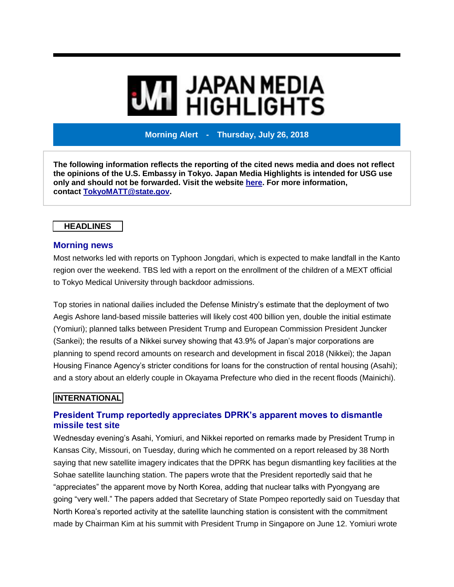# **MI** JAPAN MEDIA<br>MI HIGHLIGHTS

**Morning Alert - Thursday, July 26, 2018**

**The following information reflects the reporting of the cited news media and does not reflect the opinions of the U.S. Embassy in Tokyo. Japan Media Highlights is intended for USG use only and should not be forwarded. Visit the website [here.](https://jmh.usembassy.gov/) For more information, contact [TokyoMATT@state.gov.](mailto:TokyoMATT@state.gov)**

# **HEADLINES**

## **Morning news**

Most networks led with reports on Typhoon Jongdari, which is expected to make landfall in the Kanto region over the weekend. TBS led with a report on the enrollment of the children of a MEXT official to Tokyo Medical University through backdoor admissions.

Top stories in national dailies included the Defense Ministry's estimate that the deployment of two Aegis Ashore land-based missile batteries will likely cost 400 billion yen, double the initial estimate (Yomiuri); planned talks between President Trump and European Commission President Juncker (Sankei); the results of a Nikkei survey showing that 43.9% of Japan's major corporations are planning to spend record amounts on research and development in fiscal 2018 (Nikkei); the Japan Housing Finance Agency's stricter conditions for loans for the construction of rental housing (Asahi); and a story about an elderly couple in Okayama Prefecture who died in the recent floods (Mainichi).

# **INTERNATIONAL**

# **President Trump reportedly appreciates DPRK's apparent moves to dismantle missile test site**

Wednesday evening's Asahi, Yomiuri, and Nikkei reported on remarks made by President Trump in Kansas City, Missouri, on Tuesday, during which he commented on a report released by 38 North saying that new satellite imagery indicates that the DPRK has begun dismantling key facilities at the Sohae satellite launching station. The papers wrote that the President reportedly said that he "appreciates" the apparent move by North Korea, adding that nuclear talks with Pyongyang are going "very well." The papers added that Secretary of State Pompeo reportedly said on Tuesday that North Korea's reported activity at the satellite launching station is consistent with the commitment made by Chairman Kim at his summit with President Trump in Singapore on June 12. Yomiuri wrote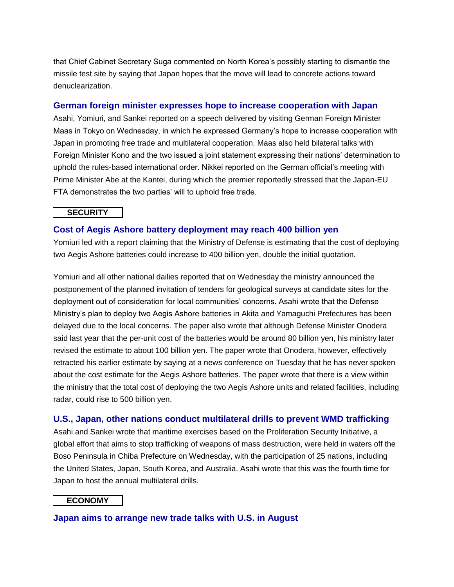that Chief Cabinet Secretary Suga commented on North Korea's possibly starting to dismantle the missile test site by saying that Japan hopes that the move will lead to concrete actions toward denuclearization.

# **German foreign minister expresses hope to increase cooperation with Japan**

Asahi, Yomiuri, and Sankei reported on a speech delivered by visiting German Foreign Minister Maas in Tokyo on Wednesday, in which he expressed Germany's hope to increase cooperation with Japan in promoting free trade and multilateral cooperation. Maas also held bilateral talks with Foreign Minister Kono and the two issued a joint statement expressing their nations' determination to uphold the rules-based international order. Nikkei reported on the German official's meeting with Prime Minister Abe at the Kantei, during which the premier reportedly stressed that the Japan-EU FTA demonstrates the two parties' will to uphold free trade.

### **SECURITY**

### **Cost of Aegis Ashore battery deployment may reach 400 billion yen**

Yomiuri led with a report claiming that the Ministry of Defense is estimating that the cost of deploying two Aegis Ashore batteries could increase to 400 billion yen, double the initial quotation.

Yomiuri and all other national dailies reported that on Wednesday the ministry announced the postponement of the planned invitation of tenders for geological surveys at candidate sites for the deployment out of consideration for local communities' concerns. Asahi wrote that the Defense Ministry's plan to deploy two Aegis Ashore batteries in Akita and Yamaguchi Prefectures has been delayed due to the local concerns. The paper also wrote that although Defense Minister Onodera said last year that the per-unit cost of the batteries would be around 80 billion yen, his ministry later revised the estimate to about 100 billion yen. The paper wrote that Onodera, however, effectively retracted his earlier estimate by saying at a news conference on Tuesday that he has never spoken about the cost estimate for the Aegis Ashore batteries. The paper wrote that there is a view within the ministry that the total cost of deploying the two Aegis Ashore units and related facilities, including radar, could rise to 500 billion yen.

### **U.S., Japan, other nations conduct multilateral drills to prevent WMD trafficking**

Asahi and Sankei wrote that maritime exercises based on the Proliferation Security Initiative, a global effort that aims to stop trafficking of weapons of mass destruction, were held in waters off the Boso Peninsula in Chiba Prefecture on Wednesday, with the participation of 25 nations, including the United States, Japan, South Korea, and Australia. Asahi wrote that this was the fourth time for Japan to host the annual multilateral drills.

### **ECONOMY**

**Japan aims to arrange new trade talks with U.S. in August**